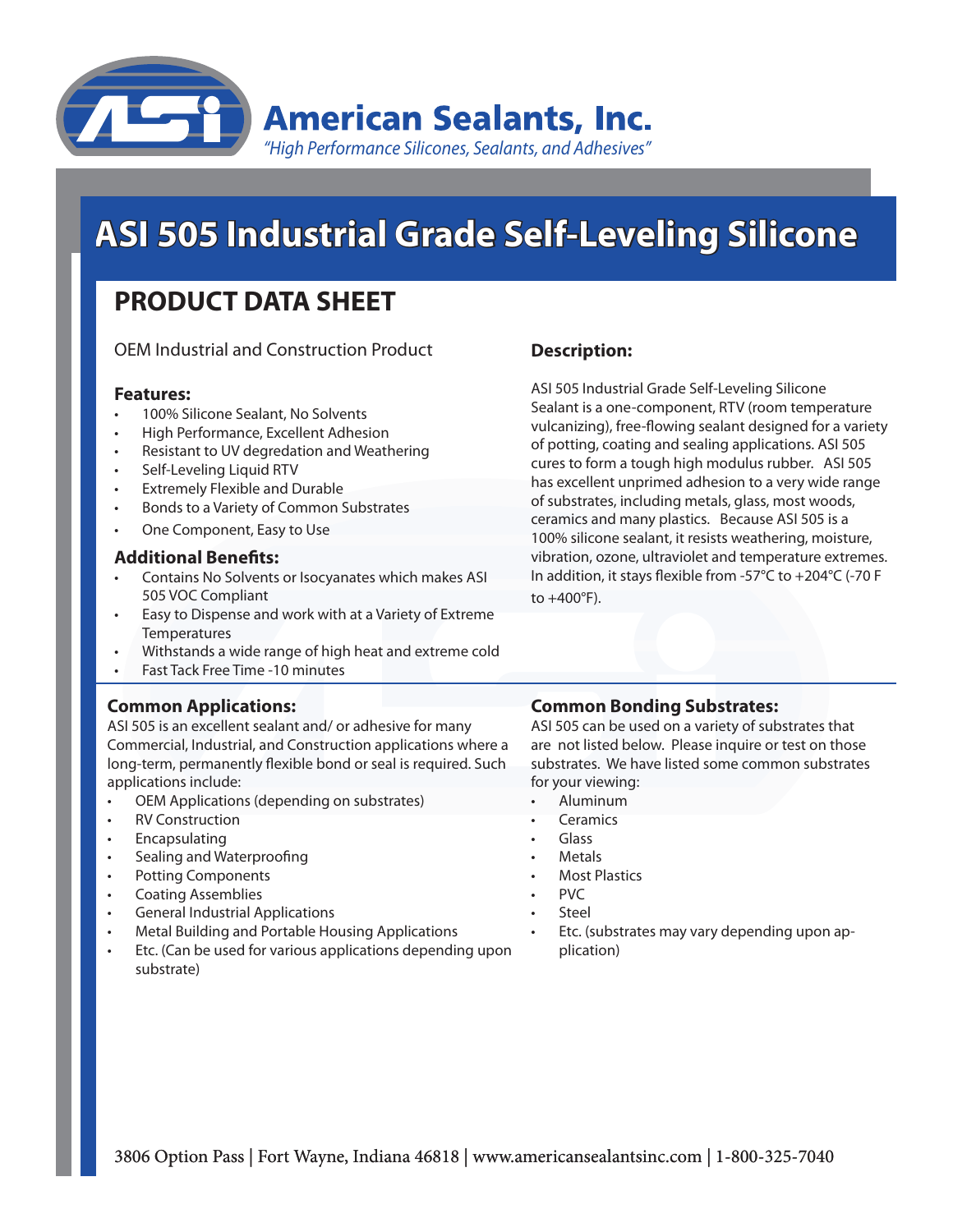

# **ASI 505 Industrial Grade Self-Leveling Silicone**

# **PRODUCT DATA SHEET**

OEM Industrial and Construction Product

### **Features:**

- 100% Silicone Sealant, No Solvents
- **High Performance, Excellent Adhesion**
- Resistant to UV degredation and Weathering
- Self-Leveling Liquid RTV
- **Extremely Flexible and Durable**
- Bonds to a Variety of Common Substrates
- One Component, Easy to Use

### **Additional Benefits:**

- Contains No Solvents or Isocyanates which makes ASI 505 VOC Compliant
- Easy to Dispense and work with at a Variety of Extreme **Temperatures**
- Withstands a wide range of high heat and extreme cold
- **Fast Tack Free Time -10 minutes**

# **Common Applications:**

ASI 505 is an excellent sealant and/ or adhesive for many Commercial, Industrial, and Construction applications where a long-term, permanently flexible bond or seal is required. Such applications include:

- OEM Applications (depending on substrates)
- **RV Construction**
- **Encapsulating**
- Sealing and Waterproofing
- Potting Components
- **Coating Assemblies**
- **General Industrial Applications**
- Metal Building and Portable Housing Applications
- Etc. (Can be used for various applications depending upon substrate)

# **Description:**

ASI 505 Industrial Grade Self-Leveling Silicone Sealant is a one-component, RTV (room temperature vulcanizing), free-flowing sealant designed for a variety of potting, coating and sealing applications. ASI 505 cures to form a tough high modulus rubber. ASI 505 has excellent unprimed adhesion to a very wide range of substrates, including metals, glass, most woods, ceramics and many plastics. Because ASI 505 is a 100% silicone sealant, it resists weathering, moisture, vibration, ozone, ultraviolet and temperature extremes. In addition, it stays flexible from -57°C to +204°C (-70 F to  $+400^{\circ}$ F).

# **Common Bonding Substrates:**

ASI 505 can be used on a variety of substrates that are not listed below. Please inquire or test on those substrates. We have listed some common substrates for your viewing:

- **Aluminum**
- **Ceramics**
- Glass
- **Metals**
- **Most Plastics**
- PVC
- **Steel**
- Etc. (substrates may vary depending upon application)